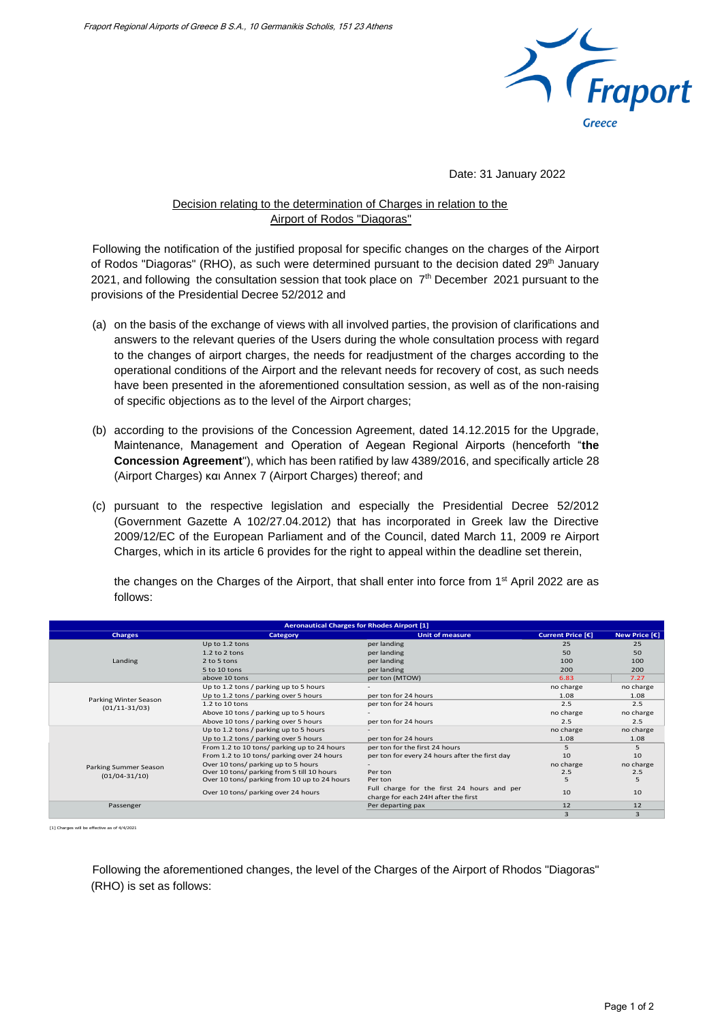

Date: 31 January 2022

## Decision relating to the determination of Charges in relation to the Airport of Rodos "Diagoras"

Following the notification of the justified proposal for specific changes on the charges of the Airport of Rodos "Diagoras" (RHO), as such were determined pursuant to the decision dated 29<sup>th</sup> January 2021, and following the consultation session that took place on  $7<sup>th</sup>$  December 2021 pursuant to the provisions of the Presidential Decree 52/2012 and

- (a) on the basis of the exchange of views with all involved parties, the provision of clarifications and answers to the relevant queries of the Users during the whole consultation process with regard to the changes of airport charges, the needs for readjustment of the charges according to the operational conditions of the Airport and the relevant needs for recovery of cost, as such needs have been presented in the aforementioned consultation session, as well as of the non-raising of specific objections as to the level of the Airport charges;
- (b) according to the provisions of the Concession Agreement, dated 14.12.2015 for the Upgrade, Maintenance, Management and Operation of Aegean Regional Airports (henceforth "**the Concession Agreement**"), which has been ratified by law 4389/2016, and specifically article 28 (Airport Charges) και Annex 7 (Airport Charges) thereof; and
- (c) pursuant to the respective legislation and especially the Presidential Decree 52/2012 (Government Gazette A 102/27.04.2012) that has incorporated in Greek law the Directive 2009/12/EC of the European Parliament and of the Council, dated March 11, 2009 re Airport Charges, which in its article 6 provides for the right to appeal within the deadline set therein,

the changes on the Charges of the Airport, that shall enter into force from 1<sup>st</sup> April 2022 are as follows:

| <b>Aeronautical Charges for Rhodes Airport [1]</b> |                                              |                                                                                   |                   |               |  |  |  |
|----------------------------------------------------|----------------------------------------------|-----------------------------------------------------------------------------------|-------------------|---------------|--|--|--|
| <b>Charges</b>                                     | Category                                     | <b>Unit of measure</b>                                                            | Current Price [€] | New Price [€] |  |  |  |
| Landing                                            | Up to 1.2 tons                               | per landing                                                                       | 25                | 25            |  |  |  |
|                                                    | $1.2$ to $2$ tons                            | per landing                                                                       | 50                | 50            |  |  |  |
|                                                    | 2 to 5 tons                                  | per landing                                                                       | 100               | 100           |  |  |  |
|                                                    | 5 to 10 tons                                 | per landing                                                                       | 200               | 200           |  |  |  |
|                                                    | above 10 tons                                | per ton (MTOW)                                                                    | 6.83              | 7.27          |  |  |  |
| Parking Winter Season<br>$(01/11-31/03)$           | Up to 1.2 tons / parking up to 5 hours       |                                                                                   | no charge         | no charge     |  |  |  |
|                                                    | Up to 1.2 tons / parking over 5 hours        | per ton for 24 hours                                                              | 1.08              | 1.08          |  |  |  |
|                                                    | 1.2 to 10 tons                               | per ton for 24 hours                                                              | 2.5               | 2.5           |  |  |  |
|                                                    | Above 10 tons / parking up to 5 hours        |                                                                                   | no charge         | no charge     |  |  |  |
|                                                    | Above 10 tons / parking over 5 hours         | per ton for 24 hours                                                              | 2.5               | 2.5           |  |  |  |
|                                                    | Up to 1.2 tons / parking up to 5 hours       |                                                                                   | no charge         | no charge     |  |  |  |
| Parking Summer Season<br>$(01/04 - 31/10)$         | Up to 1.2 tons / parking over 5 hours        | per ton for 24 hours                                                              | 1.08              | 1.08          |  |  |  |
|                                                    | From 1.2 to 10 tons/ parking up to 24 hours  | per ton for the first 24 hours                                                    |                   |               |  |  |  |
|                                                    | From 1.2 to 10 tons/ parking over 24 hours   | per ton for every 24 hours after the first day                                    | 10                | 10            |  |  |  |
|                                                    | Over 10 tons/ parking up to 5 hours          |                                                                                   | no charge         | no charge     |  |  |  |
|                                                    | Over 10 tons/ parking from 5 till 10 hours   | Per ton                                                                           | 2.5               | 2.5           |  |  |  |
|                                                    | Over 10 tons/ parking from 10 up to 24 hours | Per ton                                                                           |                   |               |  |  |  |
|                                                    | Over 10 tons/ parking over 24 hours          | Full charge for the first 24 hours and per<br>charge for each 24H after the first | 10                | 10            |  |  |  |
| Passenger                                          |                                              | Per departing pax                                                                 | 12                | 12            |  |  |  |
|                                                    |                                              |                                                                                   |                   |               |  |  |  |

[1] Charges will be effective as of 4/4/2021

Following the aforementioned changes, the level of the Charges of the Airport of Rhodos "Diagoras" (RHO) is set as follows: